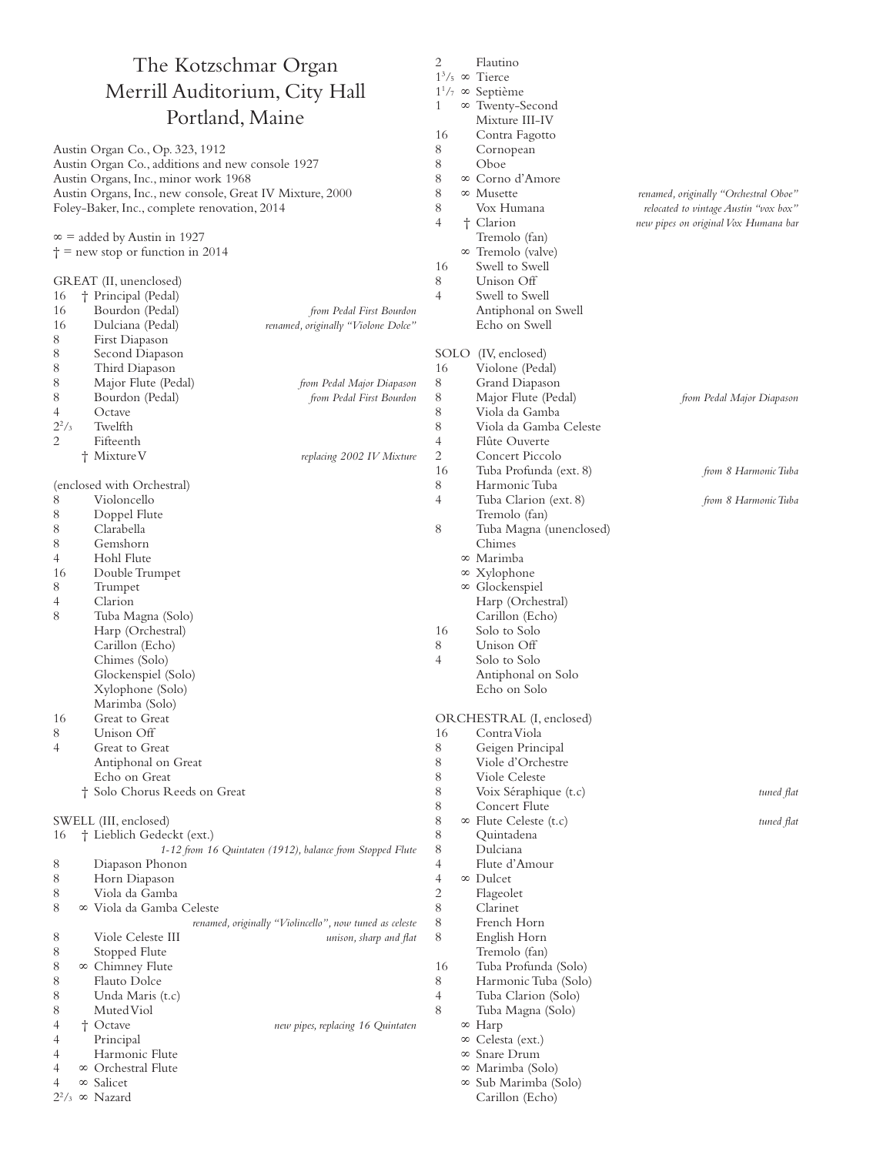## The Kotzschmar Organ Merrill Auditorium, City Hall Portland, Maine

Austin Organ Co., Op. 323, 1912 Austin Organ Co., additions and new console 1927 Austin Organs, Inc., minor work 1968 Austin Organs, Inc., new console, Great IV Mixture, 2000 Foley-Baker, Inc., complete renovation, 2014

∞ = added by Austin in 1927

 $\dagger$  = new stop or function in 2014

## GREAT (II, unenclosed)

16 † Principal (Pedal) 16 Bourdon (Pedal) *from Pedal First Bourdon* 16 Dulciana (Pedal) *renamed, originally "Violone Dolce"* 8 First Diapason 8 Second Diapason 8 Third Diapason 8 Major Flute (Pedal) *from Pedal Major Diapason* 8 Bourdon (Pedal) *from Pedal First Bourdon* 4 Octave  $\frac{2^2}{3}$ **Twelfth** Fifteenth † Mixture V *replacing 2002 IV Mixture* (enclosed with Orchestral) 8 Violoncello 8 Doppel Flute Clarabella 8 Gemshorn 4 Hohl Flute 16 Double Trumpet 8 Trumpet<br>4 Clarion 4 Clarion Tuba Magna (Solo) Harp (Orchestral) Carillon (Echo) Chimes (Solo) Glockenspiel (Solo) Xylophone (Solo) Marimba (Solo) 16 Great to Great 8 Unison Off 4 Great to Great Antiphonal on Great Echo on Great † Solo Chorus Reeds on Great SWELL (III, enclosed) 16 † Lieblich Gedeckt (ext.)  *1-12 from 16 Quintaten (1912), balance from Stopped Flute* 8 Diapason Phonon 8 Horn Diapason 8 Viola da Gamba 8 ∞ Viola da Gamba Celeste

## *renamed, originally "Violincello", now tuned as celeste* 8 Viole Celeste III *unison, sharp and flat* 8 Stopped Flute 8 ∞ Chimney Flute 8 Flauto Dolce<br>8 Unda Maris ( 8 Unda Maris (t.c)<br>8 Muted Viol Muted Viol<br>† Octave 4 † Octave *new pipes, replacing 16 Quintaten* 4 Principal 4 Harmonic Flute 4 ∞ Orchestral Flute

 $1<sup>3</sup>/5$  ∞ Tierce 11 /7 ∞ Septième 1 ∞ Twenty-Second Mixture III-IV 16 Contra Fagotto 8 Cornopean  $\begin{array}{c}\n8 \quad \text{Oboe} \\
8 \quad \infty \quad \text{Conv} \n\end{array}$ 8 ∞ Corno d'Amore<br>8 ∞ Musette 8 ∞ Musette *renamed, originally "Orchestral Oboe"* 8 Vox Humana *relocated to vintage Austin "vox box"* 4 † Clarion *new pipes on original Vox Humana bar* Tremolo (fan) ∞ Tremolo (valve) 16 Swell to Swell 8 Unison Off 4 Swell to Swell Antiphonal on Swell Echo on Swell SOLO (IV, enclosed) 16 Violone (Pedal) 8 Grand Diapason 8 Major Flute (Pedal) *from Pedal Major Diapason* 8 Viola da Gamba 8 Viola da Gamba Celeste 4 Flûte Ouverte 2 Concert Piccolo 16 Tuba Profunda (ext. 8) *from 8 Harmonic Tuba* 8 Harmonic Tuba 4 Tuba Clarion (ext. 8) *from 8 Harmonic Tuba* Tremolo (fan)<br>8 Tuba Magna (1 Tuba Magna (unenclosed) Chimes ∞ Marimba ∞ Xylophone ∞ Glockenspiel Harp (Orchestral) Carillon (Echo) 16 Solo to Solo 8 Unison Off 4 Solo to Solo Antiphonal on Solo Echo on Solo ORCHESTRAL (I, enclosed) 16 Contra Viola 8 Geigen Principal 8 Viole d'Orchestre 8 Viole Celeste 8 Voix Séraphique (t.c) *tuned flat* 8 Concert Flute 8 ∞ Flute Celeste (t.c) *tuned flat* 8 Quintadena 8 Dulciana 4 Flute d'Amour 4 ∞ Dulcet 2 Flageolet 8 Clarinet 8 French Horn 8 English Horn Tremolo (fan) 16 Tuba Profunda (Solo) 8 Harmonic Tuba (Solo) 4 Tuba Clarion (Solo) Tuba Magna (Solo) ∞ Harp ∞ Celesta (ext.) ∞ Snare Drum

> ∞ Marimba (Solo) ∞ Sub Marimba (Solo) Carillon (Echo)

2 Flautino

4 ∞ Salicet  $2^2$ /<sub>3</sub> ∞ Nazard